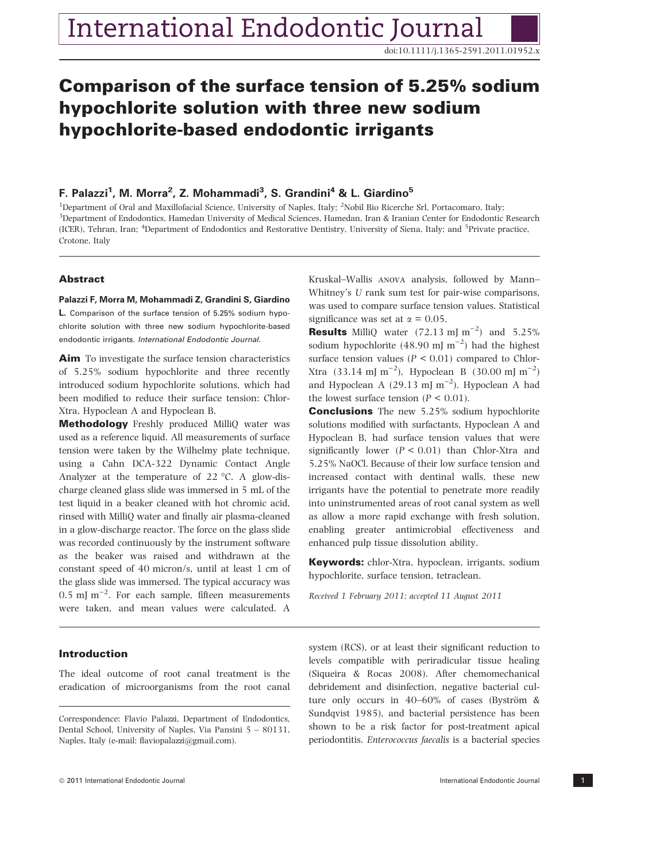doi:10.1111/j.1365-2591.2011.01952.x

# Comparison of the surface tension of 5.25% sodium hypochlorite solution with three new sodium hypochlorite-based endodontic irrigants

## F. Palazzi<sup>1</sup>, M. Morra<sup>2</sup>, Z. Mohammadi<sup>3</sup>, S. Grandini<sup>4</sup> & L. Giardino<sup>5</sup>

<sup>1</sup>Department of Oral and Maxillofacial Science, University of Naples, Italy; <sup>2</sup>Nobil Bio Ricerche Srl, Portacomaro, Italy; 3 Department of Endodontics, Hamedan University of Medical Sciences, Hamedan, Iran & Iranian Center for Endodontic Research (ICER), Tehran, Iran; <sup>4</sup>Department of Endodontics and Restorative Dentistry, University of Siena, Italy; and <sup>5</sup>Private practice, Crotone, Italy

## **Abstract**

#### Palazzi F, Morra M, Mohammadi Z, Grandini S, Giardino

L. Comparison of the surface tension of 5.25% sodium hypochlorite solution with three new sodium hypochlorite-based endodontic irrigants. International Endodontic Journal.

Aim To investigate the surface tension characteristics of 5.25% sodium hypochlorite and three recently introduced sodium hypochlorite solutions, which had been modified to reduce their surface tension: Chlor-Xtra, Hypoclean A and Hypoclean B.

Methodology Freshly produced MilliQ water was used as a reference liquid. All measurements of surface tension were taken by the Wilhelmy plate technique, using a Cahn DCA-322 Dynamic Contact Angle Analyzer at the temperature of  $22 \text{ °C}$ . A glow-discharge cleaned glass slide was immersed in 5 mL of the test liquid in a beaker cleaned with hot chromic acid, rinsed with MilliQ water and finally air plasma-cleaned in a glow-discharge reactor. The force on the glass slide was recorded continuously by the instrument software as the beaker was raised and withdrawn at the constant speed of 40 micron/s, until at least 1 cm of the glass slide was immersed. The typical accuracy was  $0.5$  mJ m<sup>-2</sup>. For each sample, fifteen measurements were taken, and mean values were calculated. A

## Introduction

The ideal outcome of root canal treatment is the eradication of microorganisms from the root canal Kruskal–Wallis anova analysis, followed by Mann– Whitney's U rank sum test for pair-wise comparisons, was used to compare surface tension values. Statistical significance was set at  $\alpha = 0.05$ .

**Results** MilliQ water  $(72.13 \text{ mJ m}^{-2})$  and  $5.25\%$ sodium hypochlorite  $(48.90 \text{ mJ m}^{-2})$  had the highest surface tension values ( $P < 0.01$ ) compared to Chlor-Xtra (33.14 mJ m<sup>-2</sup>), Hypoclean B (30.00 mJ m<sup>-2</sup>) and Hypoclean A (29.13 mJ m<sup>-2</sup>). Hypoclean A had the lowest surface tension  $(P < 0.01)$ .

Conclusions The new 5.25% sodium hypochlorite solutions modified with surfactants, Hypoclean A and Hypoclean B, had surface tension values that were significantly lower  $(P < 0.01)$  than Chlor-Xtra and 5.25% NaOCl. Because of their low surface tension and increased contact with dentinal walls, these new irrigants have the potential to penetrate more readily into uninstrumented areas of root canal system as well as allow a more rapid exchange with fresh solution, enabling greater antimicrobial effectiveness and enhanced pulp tissue dissolution ability.

Keywords: chlor-Xtra, hypoclean, irrigants, sodium hypochlorite, surface tension, tetraclean.

Received 1 February 2011; accepted 11 August 2011

system (RCS), or at least their significant reduction to levels compatible with periradicular tissue healing (Siqueira & Rocas 2008). After chemomechanical debridement and disinfection, negative bacterial culture only occurs in  $40-60\%$  of cases (Byström & Sundqvist 1985), and bacterial persistence has been shown to be a risk factor for post-treatment apical periodontitis. Enterococcus faecalis is a bacterial species

Correspondence: Flavio Palazzi, Department of Endodontics, Dental School, University of Naples, Via Pansini 5 – 80131, Naples, Italy (e-mail: flaviopalazzi@gmail.com).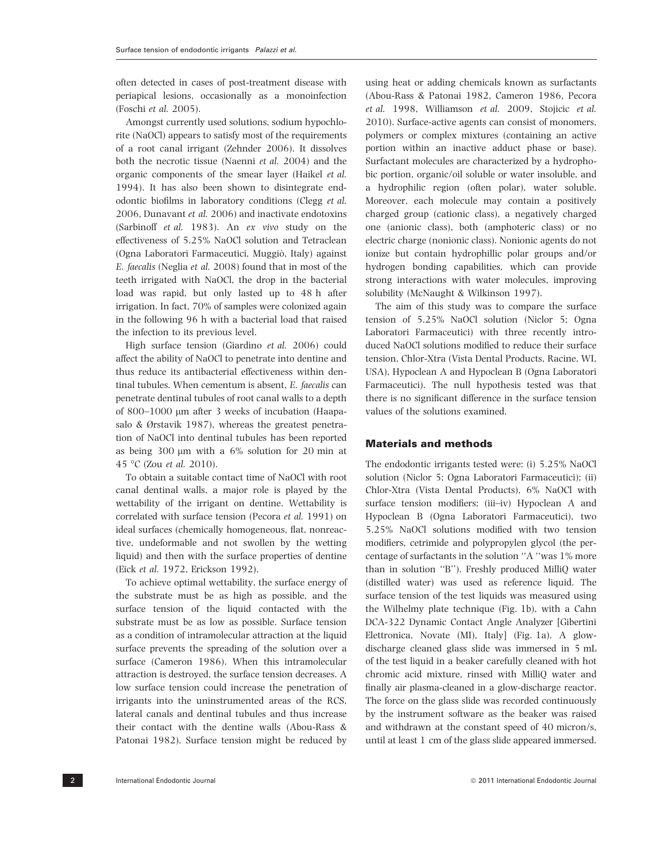often detected in cases of post-treatment disease with periapical lesions, occasionally as a monoinfection (Foschi et al. 2005).

Amongst currently used solutions, sodium hypochlorite (NaOCl) appears to satisfy most of the requirements of a root canal irrigant (Zehnder 2006). It dissolves both the necrotic tissue (Naenni et al. 2004) and the organic components of the smear layer (Haikel et al. 1994). It has also been shown to disintegrate endodontic biofilms in laboratory conditions (Clegg et al. 2006, Dunavant et al. 2006) and inactivate endotoxins (Sarbinoff et al. 1983). An ex vivo study on the effectiveness of 5.25% NaOCl solution and Tetraclean (Ogna Laboratori Farmaceutici, Muggiò, Italy) against E. faecalis (Neglia et al. 2008) found that in most of the teeth irrigated with NaOCl, the drop in the bacterial load was rapid, but only lasted up to 48 h after irrigation. In fact, 70% of samples were colonized again in the following 96 h with a bacterial load that raised the infection to its previous level.

High surface tension (Giardino et al. 2006) could affect the ability of NaOCl to penetrate into dentine and thus reduce its antibacterial effectiveness within dentinal tubules. When cementum is absent, E. faecalis can penetrate dentinal tubules of root canal walls to a depth of 800–1000  $\mu$ m after 3 weeks of incubation (Haapasalo & Ørstavik 1987), whereas the greatest penetration of NaOCl into dentinal tubules has been reported as being  $300 \mu m$  with a  $6\%$  solution for 20 min at 45 °C (Zou et al. 2010).

To obtain a suitable contact time of NaOCl with root canal dentinal walls, a major role is played by the wettability of the irrigant on dentine. Wettability is correlated with surface tension (Pecora et al. 1991) on ideal surfaces (chemically homogeneous, flat, nonreactive, undeformable and not swollen by the wetting liquid) and then with the surface properties of dentine (Eick et al. 1972, Erickson 1992).

To achieve optimal wettability, the surface energy of the substrate must be as high as possible, and the surface tension of the liquid contacted with the substrate must be as low as possible. Surface tension as a condition of intramolecular attraction at the liquid surface prevents the spreading of the solution over a surface (Cameron 1986). When this intramolecular attraction is destroyed, the surface tension decreases. A low surface tension could increase the penetration of irrigants into the uninstrumented areas of the RCS, lateral canals and dentinal tubules and thus increase their contact with the dentine walls (Abou-Rass & Patonai 1982). Surface tension might be reduced by

using heat or adding chemicals known as surfactants (Abou-Rass & Patonai 1982, Cameron 1986, Pecora et al. 1998, Williamson et al. 2009, Stojicic et al. 2010). Surface-active agents can consist of monomers, polymers or complex mixtures (containing an active portion within an inactive adduct phase or base). Surfactant molecules are characterized by a hydrophobic portion, organic/oil soluble or water insoluble, and a hydrophilic region (often polar), water soluble. Moreover, each molecule may contain a positively charged group (cationic class), a negatively charged one (anionic class), both (amphoteric class) or no electric charge (nonionic class). Nonionic agents do not ionize but contain hydrophillic polar groups and/or hydrogen bonding capabilities, which can provide strong interactions with water molecules, improving solubility (McNaught & Wilkinson 1997).

The aim of this study was to compare the surface tension of 5.25% NaOCl solution (Niclor 5; Ogna Laboratori Farmaceutici) with three recently introduced NaOCl solutions modified to reduce their surface tension, Chlor-Xtra (Vista Dental Products, Racine, WI, USA), Hypoclean A and Hypoclean B (Ogna Laboratori Farmaceutici). The null hypothesis tested was that there is no significant difference in the surface tension values of the solutions examined.

## Materials and methods

The endodontic irrigants tested were: (i) 5.25% NaOCl solution (Niclor 5; Ogna Laboratori Farmaceutici); (ii) Chlor-Xtra (Vista Dental Products), 6% NaOCl with surface tension modifiers; (iii–iv) Hypoclean A and Hypoclean B (Ogna Laboratori Farmaceutici), two 5.25% NaOCl solutions modified with two tension modifiers, cetrimide and polypropylen glycol (the percentage of surfactants in the solution ''A ''was 1% more than in solution ''B''). Freshly produced MilliQ water (distilled water) was used as reference liquid. The surface tension of the test liquids was measured using the Wilhelmy plate technique (Fig. 1b), with a Cahn DCA-322 Dynamic Contact Angle Analyzer [Gibertini Elettronica, Novate (MI), Italy] (Fig. 1a). A glowdischarge cleaned glass slide was immersed in 5 mL of the test liquid in a beaker carefully cleaned with hot chromic acid mixture, rinsed with MilliQ water and finally air plasma-cleaned in a glow-discharge reactor. The force on the glass slide was recorded continuously by the instrument software as the beaker was raised and withdrawn at the constant speed of 40 micron/s, until at least 1 cm of the glass slide appeared immersed.

2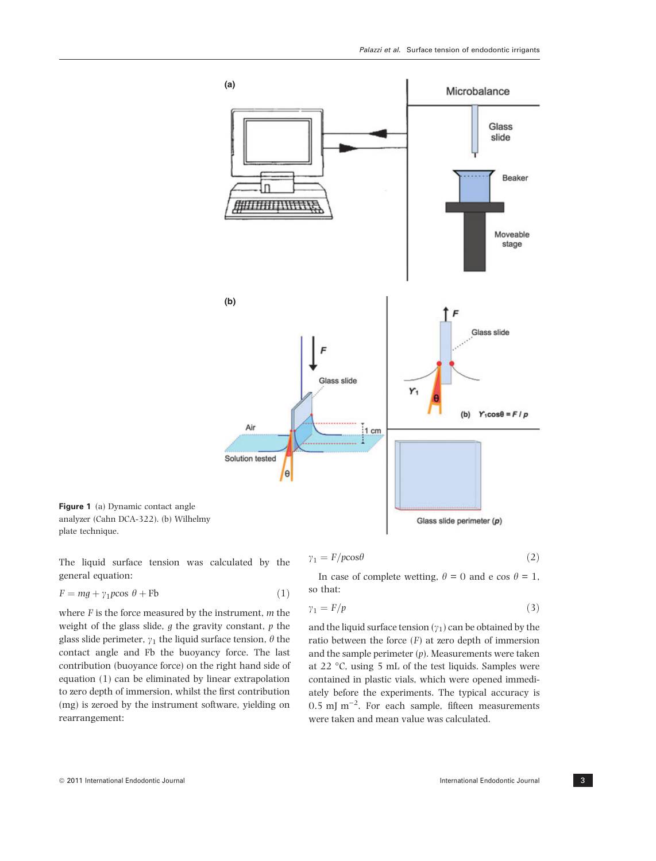

Figure 1 (a) Dynamic contact angle analyzer (Cahn DCA-322). (b) Wilhelmy plate technique.

The liquid surface tension was calculated by the general equation:

$$
F = mg + \gamma_1 p \cos \theta + \text{Fb} \tag{1}
$$

where  $F$  is the force measured by the instrument,  $m$  the weight of the glass slide,  $g$  the gravity constant,  $p$  the glass slide perimeter,  $\gamma_1$  the liquid surface tension,  $\theta$  the contact angle and Fb the buoyancy force. The last contribution (buoyance force) on the right hand side of equation (1) can be eliminated by linear extrapolation to zero depth of immersion, whilst the first contribution (mg) is zeroed by the instrument software, yielding on rearrangement:

$$
\gamma_1 = F/pc \cos \theta \tag{2}
$$

In case of complete wetting,  $\theta = 0$  and e cos  $\theta = 1$ , so that:

$$
\gamma_1 = F/p \tag{3}
$$

and the liquid surface tension  $(\gamma_1)$  can be obtained by the ratio between the force  $(F)$  at zero depth of immersion and the sample perimeter  $(p)$ . Measurements were taken at 22  $\degree$ C, using 5 mL of the test liquids. Samples were contained in plastic vials, which were opened immediately before the experiments. The typical accuracy is  $0.5$  mJ m<sup>-2</sup>. For each sample, fifteen measurements were taken and mean value was calculated.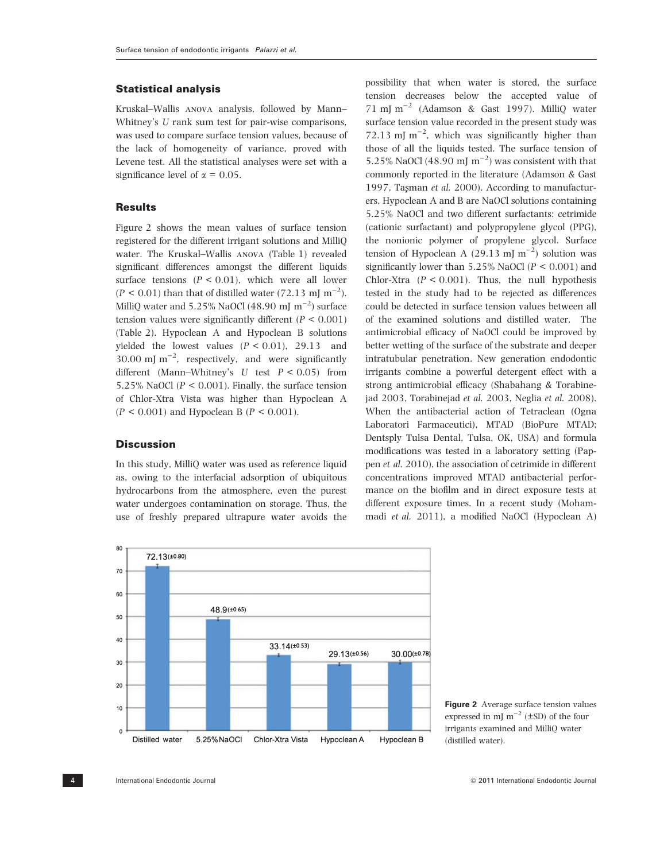## Statistical analysis

Kruskal–Wallis anova analysis, followed by Mann– Whitney's U rank sum test for pair-wise comparisons, was used to compare surface tension values, because of the lack of homogeneity of variance, proved with Levene test. All the statistical analyses were set with a significance level of  $\alpha = 0.05$ .

## **Results**

Figure 2 shows the mean values of surface tension registered for the different irrigant solutions and MilliQ water. The Kruskal–Wallis anova (Table 1) revealed significant differences amongst the different liquids surface tensions  $(P < 0.01)$ , which were all lower  $(P < 0.01)$  than that of distilled water (72.13 mJ m<sup>-2</sup>). MilliQ water and 5.25% NaOCl (48.90 mJ  $\rm\,m^{-2})$  surface tension values were significantly different ( $P < 0.001$ ) (Table 2). Hypoclean A and Hypoclean B solutions yielded the lowest values  $(P < 0.01)$ , 29.13 and 30.00 mJ  $m^{-2}$ , respectively, and were significantly different (Mann–Whitney's U test  $P < 0.05$ ) from 5.25% NaOCl ( $P < 0.001$ ). Finally, the surface tension of Chlor-Xtra Vista was higher than Hypoclean A  $(P < 0.001)$  and Hypoclean B  $(P < 0.001)$ .

#### **Discussion**

In this study, MilliQ water was used as reference liquid as, owing to the interfacial adsorption of ubiquitous hydrocarbons from the atmosphere, even the purest water undergoes contamination on storage. Thus, the use of freshly prepared ultrapure water avoids the possibility that when water is stored, the surface tension decreases below the accepted value of 71 mJ m<sup>-2</sup> (Adamson & Gast 1997). MilliQ water surface tension value recorded in the present study was 72.13 mJ  $m^{-2}$ , which was significantly higher than those of all the liquids tested. The surface tension of 5.25% NaOCl (48.90 mJ  $m^{-2}$ ) was consistent with that commonly reported in the literature (Adamson & Gast 1997, Taşman et al. 2000). According to manufacturers, Hypoclean A and B are NaOCl solutions containing 5.25% NaOCl and two different surfactants: cetrimide (cationic surfactant) and polypropylene glycol (PPG), the nonionic polymer of propylene glycol. Surface tension of Hypoclean A  $(29.13 \text{ mJ m}^{-2})$  solution was significantly lower than  $5.25\%$  NaOCl ( $P < 0.001$ ) and Chlor-Xtra  $(P < 0.001)$ . Thus, the null hypothesis tested in the study had to be rejected as differences could be detected in surface tension values between all of the examined solutions and distilled water. The antimicrobial efficacy of NaOCl could be improved by better wetting of the surface of the substrate and deeper intratubular penetration. New generation endodontic irrigants combine a powerful detergent effect with a strong antimicrobial efficacy (Shabahang & Torabinejad 2003, Torabinejad et al. 2003, Neglia et al. 2008). When the antibacterial action of Tetraclean (Ogna Laboratori Farmaceutici), MTAD (BioPure MTAD; Dentsply Tulsa Dental, Tulsa, OK, USA) and formula modifications was tested in a laboratory setting (Pappen et al. 2010), the association of cetrimide in different concentrations improved MTAD antibacterial performance on the biofilm and in direct exposure tests at different exposure times. In a recent study (Mohammadi et al. 2011), a modified NaOCl (Hypoclean A)



Figure 2 Average surface tension values expressed in mJ  $m^{-2}$  ( $\pm$ SD) of the four irrigants examined and MilliQ water (distilled water).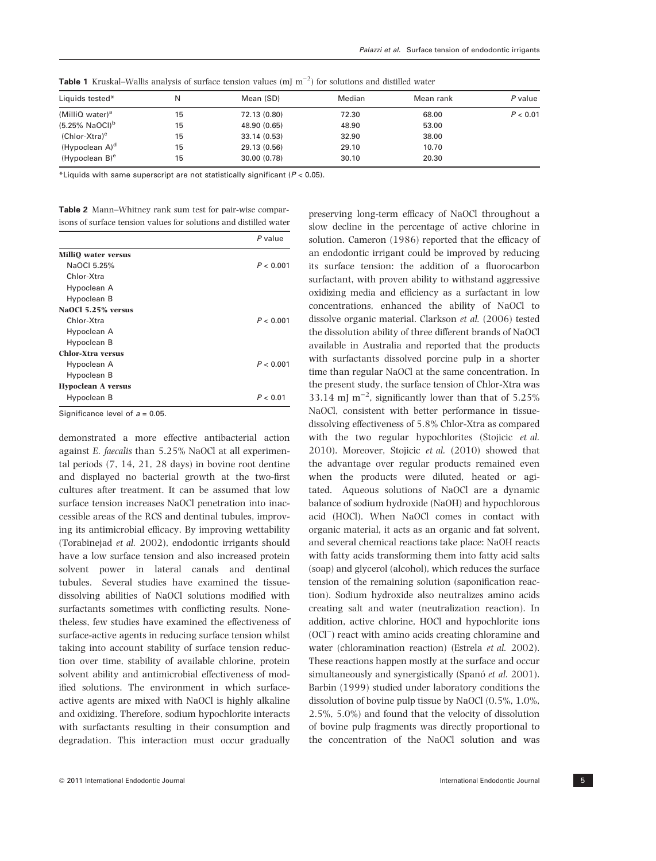| N  | Mean (SD)    | Median | Mean rank | P value  |
|----|--------------|--------|-----------|----------|
| 15 | 72.13 (0.80) | 72.30  | 68.00     | P < 0.01 |
| 15 | 48.90 (0.65) | 48.90  | 53.00     |          |
| 15 | 33.14 (0.53) | 32.90  | 38.00     |          |
| 15 | 29.13 (0.56) | 29.10  | 10.70     |          |
| 15 | 30.00 (0.78) | 30.10  | 20.30     |          |
|    |              |        |           |          |

**Table 1** Kruskal–Wallis analysis of surface tension values  $(mJ m^{-2})$  for solutions and distilled water

\*Liquids with same superscript are not statistically significant ( $P < 0.05$ ).

| <b>Table 2</b> Mann–Whitney rank sum test for pair-wise compar-   |  |  |  |  |
|-------------------------------------------------------------------|--|--|--|--|
| isons of surface tension values for solutions and distilled water |  |  |  |  |

|                            | $P$ value |
|----------------------------|-----------|
| <b>MilliO</b> water versus |           |
| NaOCI 5.25%                | P < 0.001 |
| Chlor-Xtra                 |           |
| Hypoclean A                |           |
| Hypoclean B                |           |
| NaOCl 5.25% versus         |           |
| Chlor-Xtra                 | P < 0.001 |
| Hypoclean A                |           |
| Hypoclean B                |           |
| <b>Chlor-Xtra versus</b>   |           |
| Hypoclean A                | P < 0.001 |
| Hypoclean B                |           |
| <b>Hypoclean A versus</b>  |           |
| Hypoclean B                | P < 0.01  |
|                            |           |

Significance level of  $a = 0.05$ .

demonstrated a more effective antibacterial action against E. faecalis than 5.25% NaOCl at all experimental periods (7, 14, 21, 28 days) in bovine root dentine and displayed no bacterial growth at the two-first cultures after treatment. It can be assumed that low surface tension increases NaOCl penetration into inaccessible areas of the RCS and dentinal tubules, improving its antimicrobial efficacy. By improving wettability (Torabinejad et al. 2002), endodontic irrigants should have a low surface tension and also increased protein solvent power in lateral canals and dentinal tubules. Several studies have examined the tissuedissolving abilities of NaOCl solutions modified with surfactants sometimes with conflicting results. Nonetheless, few studies have examined the effectiveness of surface-active agents in reducing surface tension whilst taking into account stability of surface tension reduction over time, stability of available chlorine, protein solvent ability and antimicrobial effectiveness of modified solutions. The environment in which surfaceactive agents are mixed with NaOCl is highly alkaline and oxidizing. Therefore, sodium hypochlorite interacts with surfactants resulting in their consumption and degradation. This interaction must occur gradually preserving long-term efficacy of NaOCl throughout a slow decline in the percentage of active chlorine in solution. Cameron (1986) reported that the efficacy of an endodontic irrigant could be improved by reducing its surface tension: the addition of a fluorocarbon surfactant, with proven ability to withstand aggressive oxidizing media and efficiency as a surfactant in low concentrations, enhanced the ability of NaOCl to dissolve organic material. Clarkson et al. (2006) tested the dissolution ability of three different brands of NaOCl available in Australia and reported that the products with surfactants dissolved porcine pulp in a shorter time than regular NaOCl at the same concentration. In the present study, the surface tension of Chlor-Xtra was 33.14 mJ m<sup>-2</sup>, significantly lower than that of  $5.25\%$ NaOCl, consistent with better performance in tissuedissolving effectiveness of 5.8% Chlor-Xtra as compared with the two regular hypochlorites (Stojicic et al. 2010). Moreover, Stojicic et al. (2010) showed that the advantage over regular products remained even when the products were diluted, heated or agitated. Aqueous solutions of NaOCl are a dynamic balance of sodium hydroxide (NaOH) and hypochlorous acid (HOCl). When NaOCl comes in contact with organic material, it acts as an organic and fat solvent, and several chemical reactions take place: NaOH reacts with fatty acids transforming them into fatty acid salts (soap) and glycerol (alcohol), which reduces the surface tension of the remaining solution (saponification reaction). Sodium hydroxide also neutralizes amino acids creating salt and water (neutralization reaction). In addition, active chlorine, HOCl and hypochlorite ions (OCl<sup>-</sup>) react with amino acids creating chloramine and water (chloramination reaction) (Estrela et al. 2002). These reactions happen mostly at the surface and occur simultaneously and synergistically (Spanó et al. 2001). Barbin (1999) studied under laboratory conditions the dissolution of bovine pulp tissue by NaOCl (0.5%, 1.0%, 2.5%, 5.0%) and found that the velocity of dissolution of bovine pulp fragments was directly proportional to the concentration of the NaOCl solution and was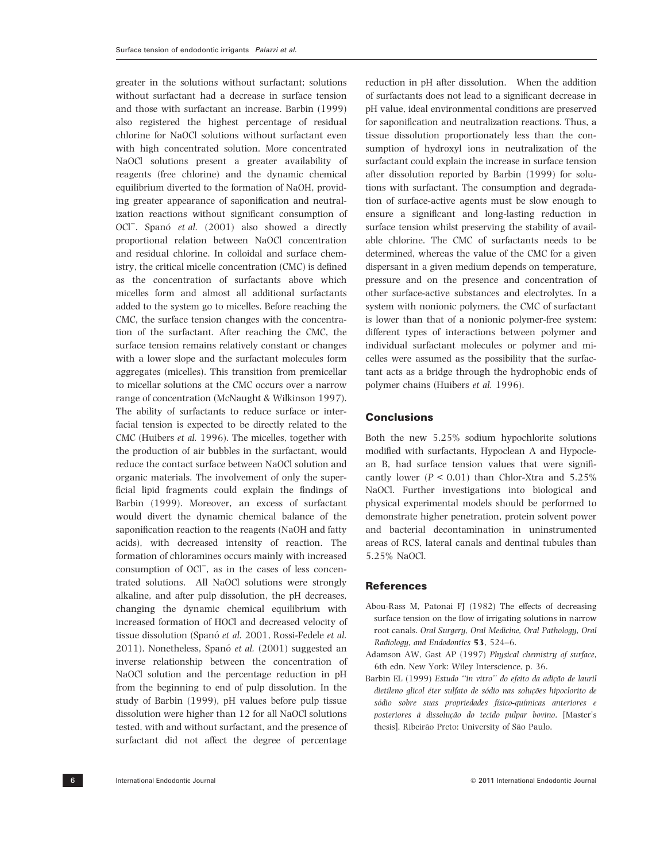greater in the solutions without surfactant; solutions without surfactant had a decrease in surface tension and those with surfactant an increase. Barbin (1999) also registered the highest percentage of residual chlorine for NaOCl solutions without surfactant even with high concentrated solution. More concentrated NaOCl solutions present a greater availability of reagents (free chlorine) and the dynamic chemical equilibrium diverted to the formation of NaOH, providing greater appearance of saponification and neutralization reactions without significant consumption of OCl<sup>-</sup>. Spanó et al. (2001) also showed a directly proportional relation between NaOCl concentration and residual chlorine. In colloidal and surface chemistry, the critical micelle concentration (CMC) is defined as the concentration of surfactants above which micelles form and almost all additional surfactants added to the system go to micelles. Before reaching the CMC, the surface tension changes with the concentration of the surfactant. After reaching the CMC, the surface tension remains relatively constant or changes with a lower slope and the surfactant molecules form aggregates (micelles). This transition from premicellar to micellar solutions at the CMC occurs over a narrow range of concentration (McNaught & Wilkinson 1997). The ability of surfactants to reduce surface or interfacial tension is expected to be directly related to the CMC (Huibers et al. 1996). The micelles, together with the production of air bubbles in the surfactant, would reduce the contact surface between NaOCl solution and organic materials. The involvement of only the superficial lipid fragments could explain the findings of Barbin (1999). Moreover, an excess of surfactant would divert the dynamic chemical balance of the saponification reaction to the reagents (NaOH and fatty acids), with decreased intensity of reaction. The formation of chloramines occurs mainly with increased consumption of OCl<sup>-</sup>, as in the cases of less concentrated solutions. All NaOCl solutions were strongly alkaline, and after pulp dissolution, the pH decreases, changing the dynamic chemical equilibrium with increased formation of HOCl and decreased velocity of tissue dissolution (Spanó et al. 2001, Rossi-Fedele et al. 2011). Nonetheless, Spanó et al. (2001) suggested an inverse relationship between the concentration of NaOCl solution and the percentage reduction in pH from the beginning to end of pulp dissolution. In the study of Barbin (1999), pH values before pulp tissue dissolution were higher than 12 for all NaOCl solutions tested, with and without surfactant, and the presence of surfactant did not affect the degree of percentage

reduction in pH after dissolution. When the addition of surfactants does not lead to a significant decrease in pH value, ideal environmental conditions are preserved for saponification and neutralization reactions. Thus, a tissue dissolution proportionately less than the consumption of hydroxyl ions in neutralization of the surfactant could explain the increase in surface tension after dissolution reported by Barbin (1999) for solutions with surfactant. The consumption and degradation of surface-active agents must be slow enough to ensure a significant and long-lasting reduction in surface tension whilst preserving the stability of available chlorine. The CMC of surfactants needs to be determined, whereas the value of the CMC for a given dispersant in a given medium depends on temperature, pressure and on the presence and concentration of other surface-active substances and electrolytes. In a system with nonionic polymers, the CMC of surfactant is lower than that of a nonionic polymer-free system: different types of interactions between polymer and individual surfactant molecules or polymer and micelles were assumed as the possibility that the surfactant acts as a bridge through the hydrophobic ends of polymer chains (Huibers et al. 1996).

## Conclusions

Both the new 5.25% sodium hypochlorite solutions modified with surfactants, Hypoclean A and Hypoclean B, had surface tension values that were significantly lower ( $P < 0.01$ ) than Chlor-Xtra and 5.25% NaOCl. Further investigations into biological and physical experimental models should be performed to demonstrate higher penetration, protein solvent power and bacterial decontamination in uninstrumented areas of RCS, lateral canals and dentinal tubules than 5.25% NaOCl.

## **References**

- Abou-Rass M, Patonai FJ (1982) The effects of decreasing surface tension on the flow of irrigating solutions in narrow root canals. Oral Surgery, Oral Medicine, Oral Pathology, Oral Radiology, and Endodontics 53, 524–6.
- Adamson AW, Gast AP (1997) Physical chemistry of surface, 6th edn. New York: Wiley Interscience, p. 36.
- Barbin EL (1999) Estudo "in vitro" do efeito da adição de lauril dietileno glicol éter sulfato de sódio nas soluções hipoclorito de sódio sobre suas propriedades físico-químicas anteriores e posteriores à dissolução do tecido pulpar bovino. [Master's thesis]. Ribeirão Preto: University of São Paulo.

6